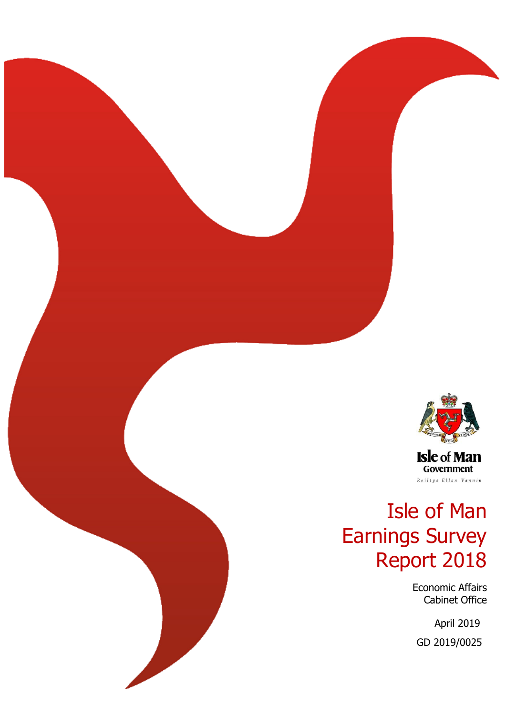

# Isle of Man Earnings Survey Report 2018

Economic Affairs Cabinet Office

April 2019 GD 2019/0025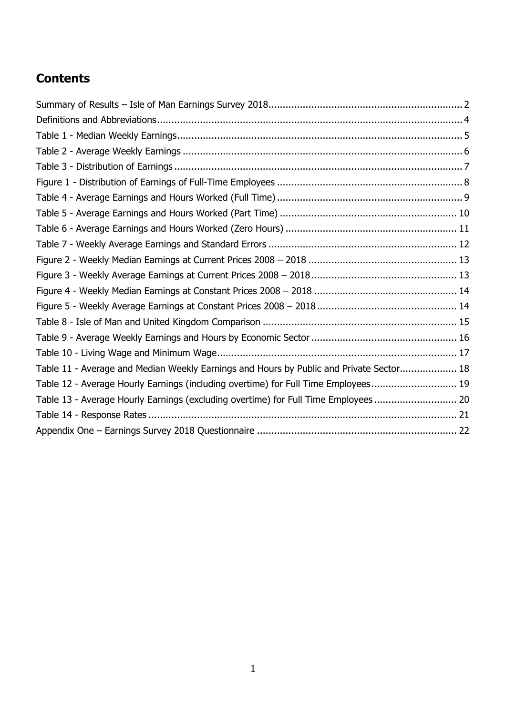### **Contents**

| Table 11 - Average and Median Weekly Earnings and Hours by Public and Private Sector 18 |  |
|-----------------------------------------------------------------------------------------|--|
| Table 12 - Average Hourly Earnings (including overtime) for Full Time Employees 19      |  |
| Table 13 - Average Hourly Earnings (excluding overtime) for Full Time Employees 20      |  |
|                                                                                         |  |
|                                                                                         |  |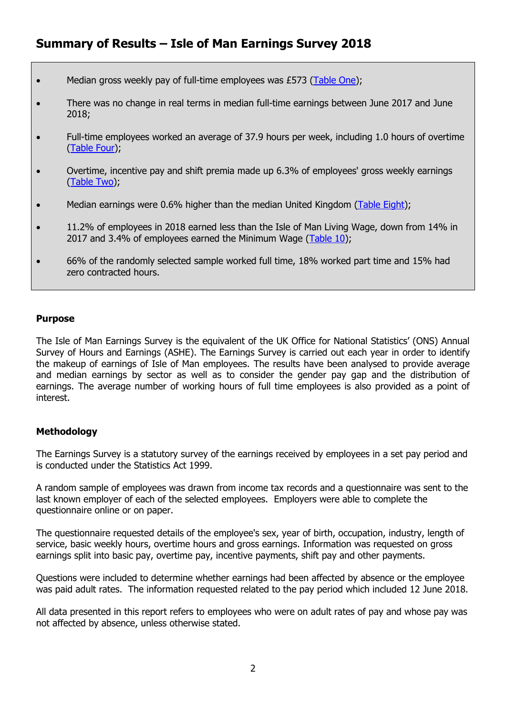### <span id="page-2-0"></span>**Summary of Results – Isle of Man Earnings Survey 2018**

- Median gross weekly pay of full-time employees was £573 [\(Table One\)](#page-4-1);
- There was no change in real terms in median full-time earnings between June 2017 and June 2018;
- Full-time employees worked an average of 37.9 hours per week, including 1.0 hours of overtime [\(Table Four\);](#page-8-1)
- Overtime, incentive pay and shift premia made up 6.3% of employees' gross weekly earnings [\(Table Two\);](#page-7-0)
- Median earnings were 0.6% higher than the median United Kingdom [\(Table Eight\)](#page-15-0);
- 11.2% of employees in 2018 earned less than the Isle of Man Living Wage, down from 14% in 2017 and 3.4% of employees earned the Minimum Wage (Table 10):
- 66% of the randomly selected sample worked full time, 18% worked part time and 15% had zero contracted hours.

#### **Purpose**

The Isle of Man Earnings Survey is the equivalent of the UK Office for National Statistics' (ONS) Annual Survey of Hours and Earnings (ASHE). The Earnings Survey is carried out each year in order to identify the makeup of earnings of Isle of Man employees. The results have been analysed to provide average and median earnings by sector as well as to consider the gender pay gap and the distribution of earnings. The average number of working hours of full time employees is also provided as a point of interest.

#### **Methodology**

The Earnings Survey is a statutory survey of the earnings received by employees in a set pay period and is conducted under the Statistics Act 1999.

A random sample of employees was drawn from income tax records and a questionnaire was sent to the last known employer of each of the selected employees. Employers were able to complete the questionnaire online or on paper.

The questionnaire requested details of the employee's sex, year of birth, occupation, industry, length of service, basic weekly hours, overtime hours and gross earnings. Information was requested on gross earnings split into basic pay, overtime pay, incentive payments, shift pay and other payments.

Questions were included to determine whether earnings had been affected by absence or the employee was paid adult rates. The information requested related to the pay period which included 12 June 2018.

All data presented in this report refers to employees who were on adult rates of pay and whose pay was not affected by absence, unless otherwise stated.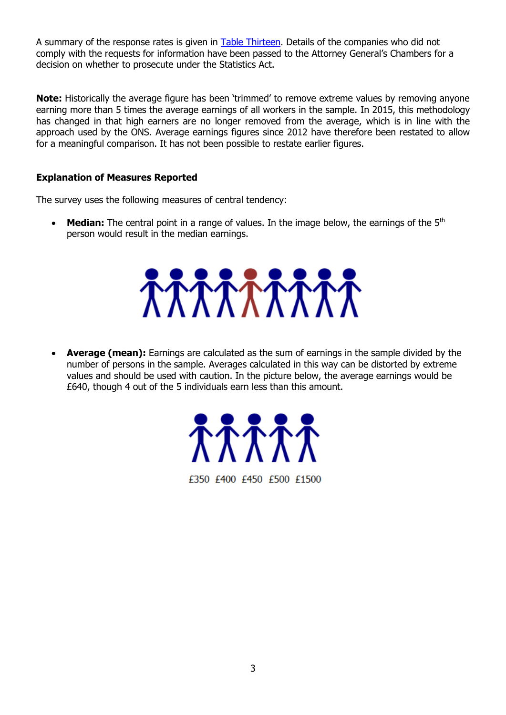A summary of the response rates is given in [Table Thirteen.](#page-21-0) Details of the companies who did not comply with the requests for information have been passed to the Attorney General's Chambers for a decision on whether to prosecute under the Statistics Act.

**Note:** Historically the average figure has been 'trimmed' to remove extreme values by removing anyone earning more than 5 times the average earnings of all workers in the sample. In 2015, this methodology has changed in that high earners are no longer removed from the average, which is in line with the approach used by the ONS. Average earnings figures since 2012 have therefore been restated to allow for a meaningful comparison. It has not been possible to restate earlier figures.

### **Explanation of Measures Reported**

The survey uses the following measures of central tendency:

**Median:** The central point in a range of values. In the image below, the earnings of the 5<sup>th</sup> person would result in the median earnings.

 **Average (mean):** Earnings are calculated as the sum of earnings in the sample divided by the number of persons in the sample. Averages calculated in this way can be distorted by extreme values and should be used with caution. In the picture below, the average earnings would be £640, though 4 out of the 5 individuals earn less than this amount.



£350 £400 £450 £500 £1500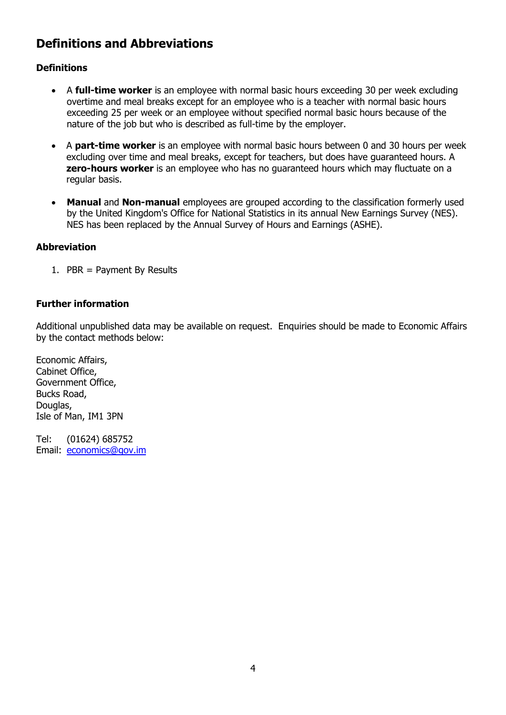# <span id="page-4-0"></span>**Definitions and Abbreviations**

### **Definitions**

- A **full-time worker** is an employee with normal basic hours exceeding 30 per week excluding overtime and meal breaks except for an employee who is a teacher with normal basic hours exceeding 25 per week or an employee without specified normal basic hours because of the nature of the job but who is described as full-time by the employer.
- A **part-time worker** is an employee with normal basic hours between 0 and 30 hours per week excluding over time and meal breaks, except for teachers, but does have guaranteed hours. A **zero-hours worker** is an employee who has no quaranteed hours which may fluctuate on a regular basis.
- **Manual** and **Non-manual** employees are grouped according to the classification formerly used by the United Kingdom's Office for National Statistics in its annual New Earnings Survey (NES). NES has been replaced by the Annual Survey of Hours and Earnings (ASHE).

### **Abbreviation**

1. PBR = Payment By Results

### **Further information**

Additional unpublished data may be available on request. Enquiries should be made to Economic Affairs by the contact methods below:

Economic Affairs, Cabinet Office, Government Office, Bucks Road, Douglas, Isle of Man, IM1 3PN

<span id="page-4-1"></span>Tel: (01624) 685752 Email: [economics@gov.im](mailto:economics@gov.im)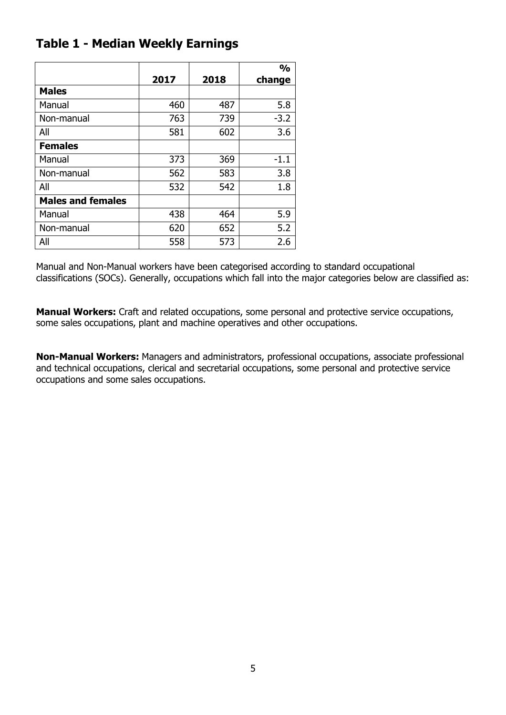|                          |      |      | $\frac{1}{2}$ |
|--------------------------|------|------|---------------|
|                          | 2017 | 2018 | change        |
| <b>Males</b>             |      |      |               |
| Manual                   | 460  | 487  | 5.8           |
| Non-manual               | 763  | 739  | $-3.2$        |
| All                      | 581  | 602  | 3.6           |
| <b>Females</b>           |      |      |               |
| Manual                   | 373  | 369  | $-1.1$        |
| Non-manual               | 562  | 583  | 3.8           |
| All                      | 532  | 542  | 1.8           |
| <b>Males and females</b> |      |      |               |
| Manual                   | 438  | 464  | 5.9           |
| Non-manual               | 620  | 652  | 5.2           |
| All                      | 558  | 573  | 2.6           |

### <span id="page-5-0"></span>**Table 1 - Median Weekly Earnings**

Manual and Non-Manual workers have been categorised according to standard occupational classifications (SOCs). Generally, occupations which fall into the major categories below are classified as:

**Manual Workers:** Craft and related occupations, some personal and protective service occupations, some sales occupations, plant and machine operatives and other occupations.

**Non-Manual Workers:** Managers and administrators, professional occupations, associate professional and technical occupations, clerical and secretarial occupations, some personal and protective service occupations and some sales occupations.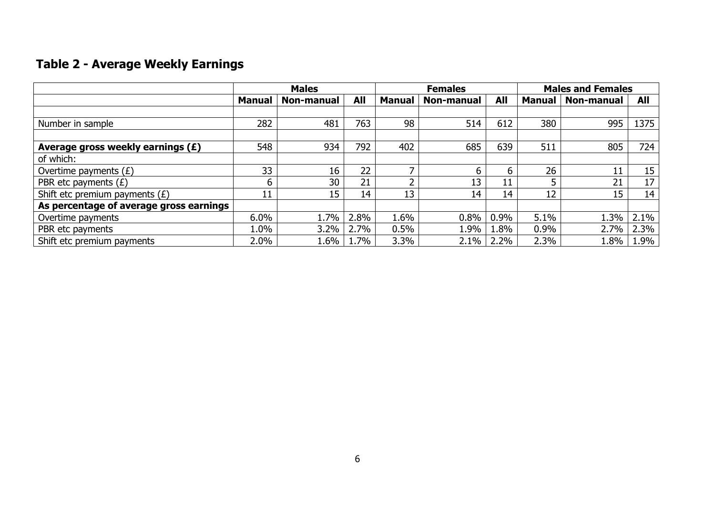# **Table 2 - Average Weekly Earnings**

<span id="page-6-0"></span>

|                                         | <b>Males</b>                              |      |               | <b>Females</b> |      |               | <b>Males and Females</b> |      |      |
|-----------------------------------------|-------------------------------------------|------|---------------|----------------|------|---------------|--------------------------|------|------|
|                                         | <b>All</b><br><b>Manual</b><br>Non-manual |      | <b>Manual</b> | Non-manual     | All  | <b>Manual</b> | Non-manual               | All  |      |
|                                         |                                           |      |               |                |      |               |                          |      |      |
| Number in sample                        | 282                                       | 481  | 763           | 98             | 514  | 612           | 380                      | 995  | 1375 |
|                                         |                                           |      |               |                |      |               |                          |      |      |
| Average gross weekly earnings (£)       | 548                                       | 934  | 792           | 402            | 685  | 639           | 511                      | 805  | 724  |
| of which:                               |                                           |      |               |                |      |               |                          |      |      |
| Overtime payments $(E)$                 | 33                                        | 16   | 22            |                |      |               | 26                       | 11   | 15   |
| PBR etc payments $(E)$                  | 6                                         | 30   | 21            |                | 13   | 11            |                          | 21   | 17   |
| Shift etc premium payments $(E)$        | 11                                        | 15   | 14            | 13             | 14   | 14            | 12                       | 15   | 14   |
| As percentage of average gross earnings |                                           |      |               |                |      |               |                          |      |      |
| Overtime payments                       | 6.0%                                      | 1.7% | 2.8%          | 1.6%           | 0.8% | 0.9%          | 5.1%                     | 1.3% | 2.1% |
| PBR etc payments                        | $1.0\%$                                   | 3.2% | 2.7%          | 0.5%           | 1.9% | 1.8%          | 0.9%                     | 2.7% | 2.3% |
| Shift etc premium payments              | 2.0%                                      | 1.6% | 1.7%          | 3.3%           | 2.1% | 2.2%          | 2.3%                     | 1.8% | 1.9% |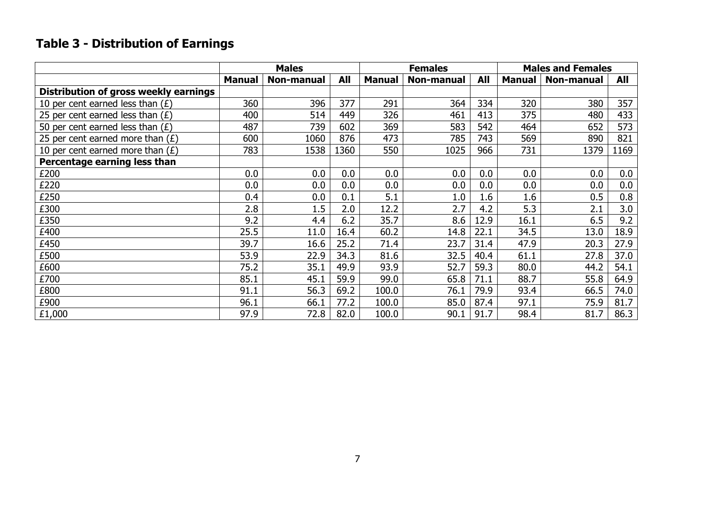# **Table 3 - Distribution of Earnings**

<span id="page-7-0"></span>

|                                       | <b>Males</b>  |            |      | <b>Females</b> |                   |      | <b>Males and Females</b> |            |      |  |
|---------------------------------------|---------------|------------|------|----------------|-------------------|------|--------------------------|------------|------|--|
|                                       | <b>Manual</b> | Non-manual | All  | <b>Manual</b>  | <b>Non-manual</b> | All  | <b>Manual</b>            | Non-manual | All  |  |
| Distribution of gross weekly earnings |               |            |      |                |                   |      |                          |            |      |  |
| 10 per cent earned less than $(E)$    | 360           | 396        | 377  | 291            | 364               | 334  | 320                      | 380        | 357  |  |
| 25 per cent earned less than $(E)$    | 400           | 514        | 449  | 326            | 461               | 413  | 375                      | 480        | 433  |  |
| 50 per cent earned less than $(E)$    | 487           | 739        | 602  | 369            | 583               | 542  | 464                      | 652        | 573  |  |
| 25 per cent earned more than $(E)$    | 600           | 1060       | 876  | 473            | 785               | 743  | 569                      | 890        | 821  |  |
| 10 per cent earned more than $(E)$    | 783           | 1538       | 1360 | 550            | 1025              | 966  | 731                      | 1379       | 1169 |  |
| Percentage earning less than          |               |            |      |                |                   |      |                          |            |      |  |
| £200                                  | 0.0           | 0.0        | 0.0  | 0.0            | 0.0               | 0.0  | 0.0                      | 0.0        | 0.0  |  |
| £220                                  | 0.0           | 0.0        | 0.0  | 0.0            | 0.0               | 0.0  | 0.0                      | 0.0        | 0.0  |  |
| £250                                  | 0.4           | 0.0        | 0.1  | 5.1            | 1.0               | 1.6  | 1.6                      | 0.5        | 0.8  |  |
| £300                                  | 2.8           | 1.5        | 2.0  | 12.2           | 2.7               | 4.2  | 5.3                      | 2.1        | 3.0  |  |
| £350                                  | 9.2           | 4.4        | 6.2  | 35.7           | 8.6               | 12.9 | 16.1                     | 6.5        | 9.2  |  |
| £400                                  | 25.5          | 11.0       | 16.4 | 60.2           | 14.8              | 22.1 | 34.5                     | 13.0       | 18.9 |  |
| £450                                  | 39.7          | 16.6       | 25.2 | 71.4           | 23.7              | 31.4 | 47.9                     | 20.3       | 27.9 |  |
| £500                                  | 53.9          | 22.9       | 34.3 | 81.6           | 32.5              | 40.4 | 61.1                     | 27.8       | 37.0 |  |
| £600                                  | 75.2          | 35.1       | 49.9 | 93.9           | 52.7              | 59.3 | 80.0                     | 44.2       | 54.1 |  |
| £700                                  | 85.1          | 45.1       | 59.9 | 99.0           | 65.8              | 71.1 | 88.7                     | 55.8       | 64.9 |  |
| £800                                  | 91.1          | 56.3       | 69.2 | 100.0          | 76.1              | 79.9 | 93.4                     | 66.5       | 74.0 |  |
| £900                                  | 96.1          | 66.1       | 77.2 | 100.0          | 85.0              | 87.4 | 97.1                     | 75.9       | 81.7 |  |
| £1,000                                | 97.9          | 72.8       | 82.0 | 100.0          | 90.1              | 91.7 | 98.4                     | 81.7       | 86.3 |  |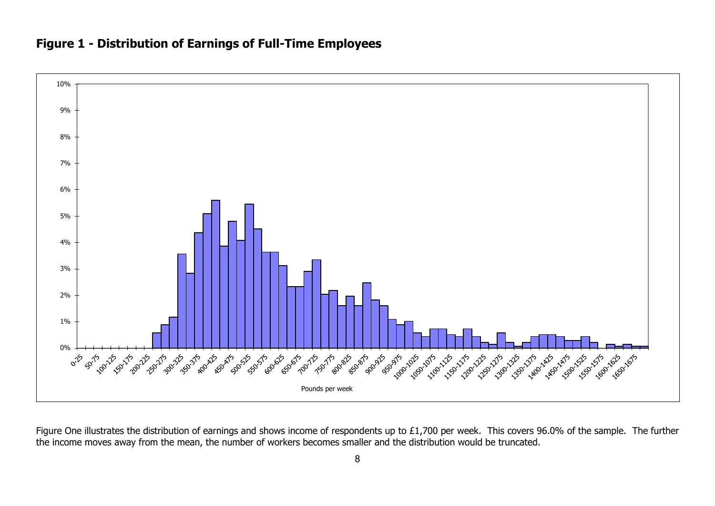### **Figure 1 - Distribution of Earnings of Full-Time Employees**



<span id="page-8-1"></span><span id="page-8-0"></span>Figure One illustrates the distribution of earnings and shows income of respondents up to £1,700 per week. This covers 96.0% of the sample. The further the income moves away from the mean, the number of workers becomes smaller and the distribution would be truncated.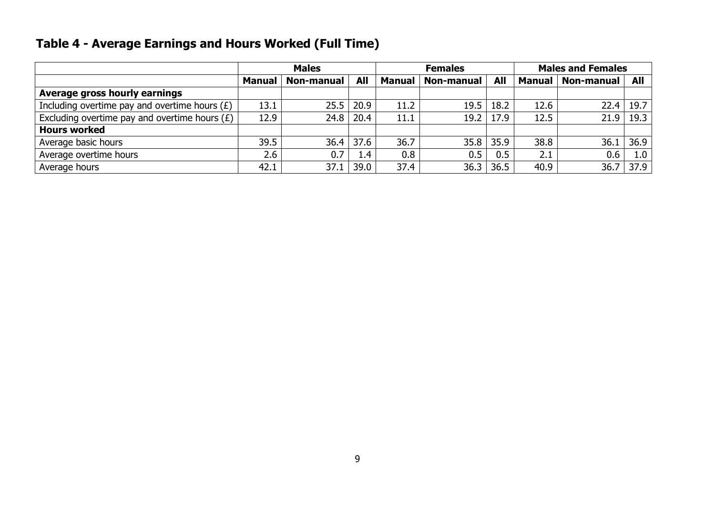# **Table 4 - Average Earnings and Hours Worked (Full Time)**

<span id="page-9-0"></span>

|                                                 | <b>Males</b>  |            |            | <b>Females</b> |                   |             | <b>Males and Females</b> |                     |      |
|-------------------------------------------------|---------------|------------|------------|----------------|-------------------|-------------|--------------------------|---------------------|------|
|                                                 | <b>Manual</b> | Non-manual | <b>All</b> | <b>Manual</b>  | <b>Non-manual</b> | All         |                          | Manual   Non-manual | All  |
| Average gross hourly earnings                   |               |            |            |                |                   |             |                          |                     |      |
| Including overtime pay and overtime hours $(E)$ | 13.1          | 25.5       | 20.9       | 11.2           | 19.5              | 18.2        | 12.6                     | 22.4                | 19.7 |
| Excluding overtime pay and overtime hours $(E)$ | 12.9          | 24.8       | 20.4       | 11.1           | 19.2              | 17.9        | 12.5                     | 21.9                | 19.3 |
| <b>Hours worked</b>                             |               |            |            |                |                   |             |                          |                     |      |
| Average basic hours                             | 39.5          | 36.4       | 37.6       | 36.7           |                   | $35.8$ 35.9 | 38.8                     | 36.1                | 36.9 |
| Average overtime hours                          | 2.6           | 0.7        | 1.4        | 0.8            | 0.5               | 0.5         | 2.1                      | $0.6\,$             | 1.0  |
| Average hours                                   | 42.1          | 37.1       | 39.0       | 37.4           | 36.3              | 36.5        | 40.9                     | 36.7                | 37.9 |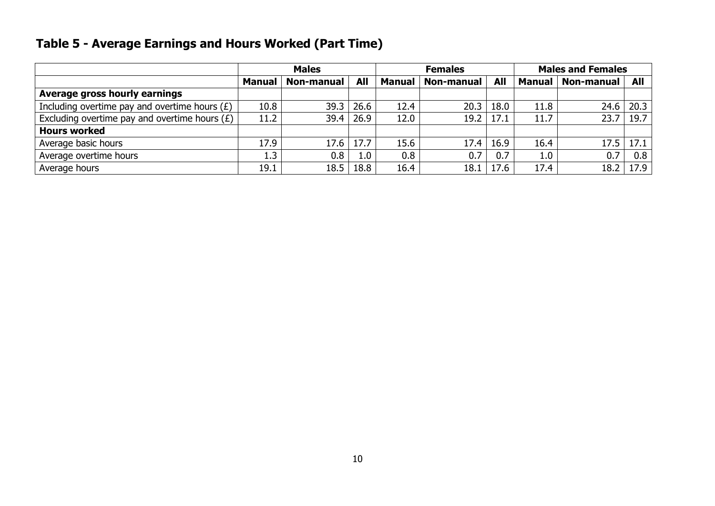# **Table 5 - Average Earnings and Hours Worked (Part Time)**

<span id="page-10-0"></span>

|                                                 | <b>Males</b>  |            |      | <b>Females</b> |                   |            | <b>Males and Females</b> |                     |      |
|-------------------------------------------------|---------------|------------|------|----------------|-------------------|------------|--------------------------|---------------------|------|
|                                                 | <b>Manual</b> | Non-manual | All  | <b>Manual</b>  | <b>Non-manual</b> | <b>All</b> |                          | Manual   Non-manual | All  |
| Average gross hourly earnings                   |               |            |      |                |                   |            |                          |                     |      |
| Including overtime pay and overtime hours $(E)$ | 10.8          | 39.3       | 26.6 | 12.4           | 20.3              | 18.0       | 11.8                     | 24.6                | 20.3 |
| Excluding overtime pay and overtime hours $(E)$ | 11.2          | 39.4       | 26.9 | 12.0           | 19.2              | 17.1       | 11.7                     | 23.7                | 19.7 |
| <b>Hours worked</b>                             |               |            |      |                |                   |            |                          |                     |      |
| Average basic hours                             | 17.9          | 17.6       | 17.7 | 15.6           | 17.4              | 16.9       | 16.4                     | 17.5                | 17.1 |
| Average overtime hours                          | 1.3           | 0.8        | 1.0  | 0.8            | 0.7               | 0.7        | 1.0                      | 0.7                 | 0.8  |
| Average hours                                   | 19.1          | 18.5       | 18.8 | 16.4           | 18.1              | 17.6       | 17.4                     | 18.2                | 17.9 |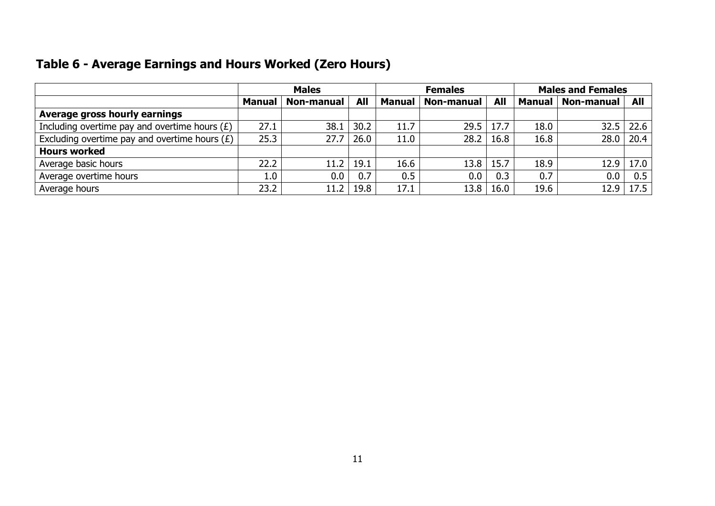# **Table 6 - Average Earnings and Hours Worked (Zero Hours)**

<span id="page-11-0"></span>

|                                                 | <b>Males</b>  |                   |      | <b>Females</b> |            |      | <b>Males and Females</b> |            |            |
|-------------------------------------------------|---------------|-------------------|------|----------------|------------|------|--------------------------|------------|------------|
|                                                 | <b>Manual</b> | <b>Non-manual</b> | All  | <b>Manual</b>  | Non-manual | All  | <b>Manual</b>            | Non-manual | <b>All</b> |
| Average gross hourly earnings                   |               |                   |      |                |            |      |                          |            |            |
| Including overtime pay and overtime hours $(E)$ | 27.1          | 38.1              | 30.2 | 11.7           | 29.5       | 17.7 | 18.0                     | 32.5       | 22.6       |
| Excluding overtime pay and overtime hours $(E)$ | 25.3          | 27.7              | 26.0 | 11.0           | 28.2       | 16.8 | 16.8                     | 28.0       | 20.4       |
| <b>Hours worked</b>                             |               |                   |      |                |            |      |                          |            |            |
| Average basic hours                             | 22.2          | 11.2              | 19.1 | 16.6           | 13.8       | 15.7 | 18.9                     | 12.9       | 17.0       |
| Average overtime hours                          | 1.0           | 0.0               | 0.7  | 0.5            | 0.0        | 0.3  | 0.7                      | 0.0        | 0.5        |
| Average hours                                   | 23.2          | 11.2              | 19.8 | 17.1           | 13.8       | 16.0 | 19.6                     | 12.9       | 17.5       |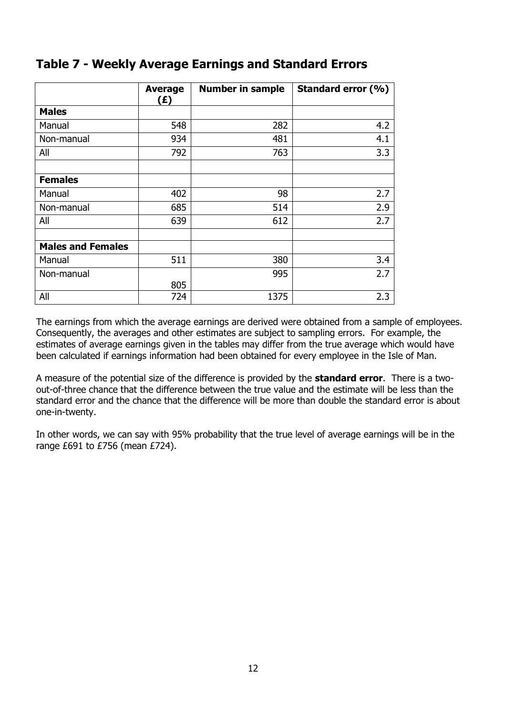|                          | <b>Average</b><br>(E) | <b>Number in sample</b> | Standard error (%) |
|--------------------------|-----------------------|-------------------------|--------------------|
| <b>Males</b>             |                       |                         |                    |
| Manual                   | 548                   | 282                     | 4.2                |
| Non-manual               | 934                   | 481                     | 4.1                |
| All                      | 792                   | 763                     | 3.3                |
|                          |                       |                         |                    |
| <b>Females</b>           |                       |                         |                    |
| Manual                   | 402                   | 98                      | 2.7                |
| Non-manual               | 685                   | 514                     | 2.9                |
| All                      | 639                   | 612                     | 2.7                |
|                          |                       |                         |                    |
| <b>Males and Females</b> |                       |                         |                    |
| Manual                   | 511                   | 380                     | 3.4                |
| Non-manual               |                       | 995                     | 2.7                |
|                          | 805                   |                         |                    |
| All                      | 724                   | 1375                    | 2.3                |

# <span id="page-12-0"></span>**Table 7 - Weekly Average Earnings and Standard Errors**

The earnings from which the average earnings are derived were obtained from a sample of employees. Consequently, the averages and other estimates are subject to sampling errors. For example, the estimates of average earnings given in the tables may differ from the true average which would have been calculated if earnings information had been obtained for every employee in the Isle of Man.

A measure of the potential size of the difference is provided by the **standard error**. There is a twoout-of-three chance that the difference between the true value and the estimate will be less than the standard error and the chance that the difference will be more than double the standard error is about one-in-twenty.

In other words, we can say with 95% probability that the true level of average earnings will be in the range £691 to £756 (mean £724).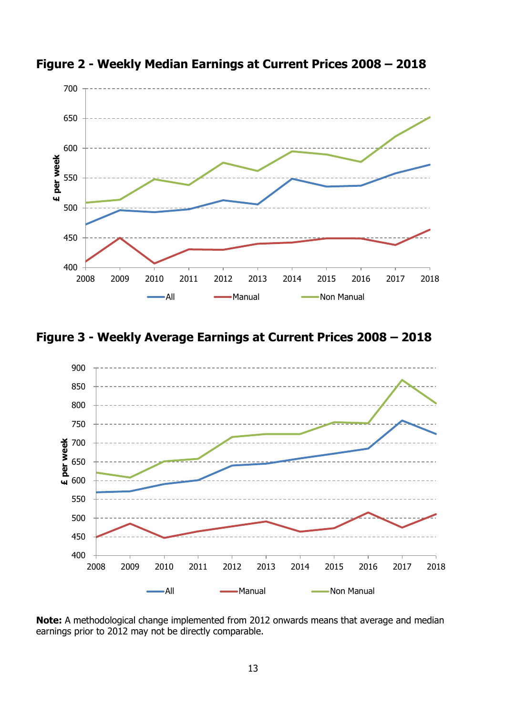

<span id="page-13-0"></span>**Figure 2 - Weekly Median Earnings at Current Prices 2008 – 2018**

<span id="page-13-1"></span>**Figure 3 - Weekly Average Earnings at Current Prices 2008 – 2018**



**Note:** A methodological change implemented from 2012 onwards means that average and median earnings prior to 2012 may not be directly comparable.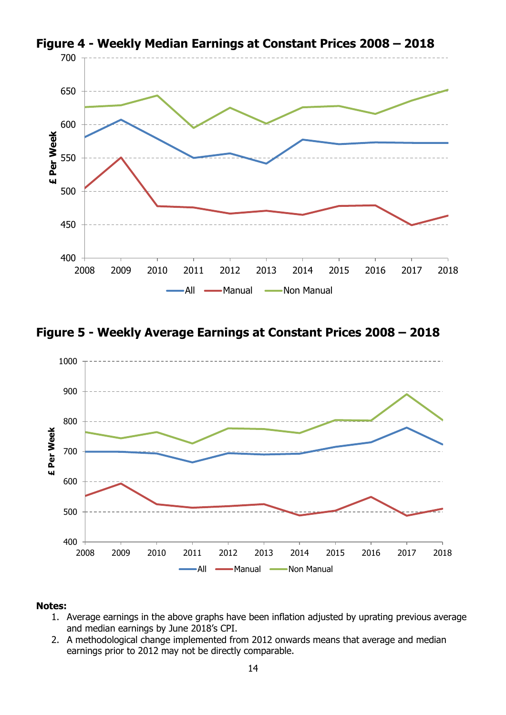<span id="page-14-0"></span>

<span id="page-14-1"></span>**Figure 5 - Weekly Average Earnings at Constant Prices 2008 – 2018**



#### **Notes:**

- 1. Average earnings in the above graphs have been inflation adjusted by uprating previous average and median earnings by June 2018's CPI.
- 2. A methodological change implemented from 2012 onwards means that average and median earnings prior to 2012 may not be directly comparable.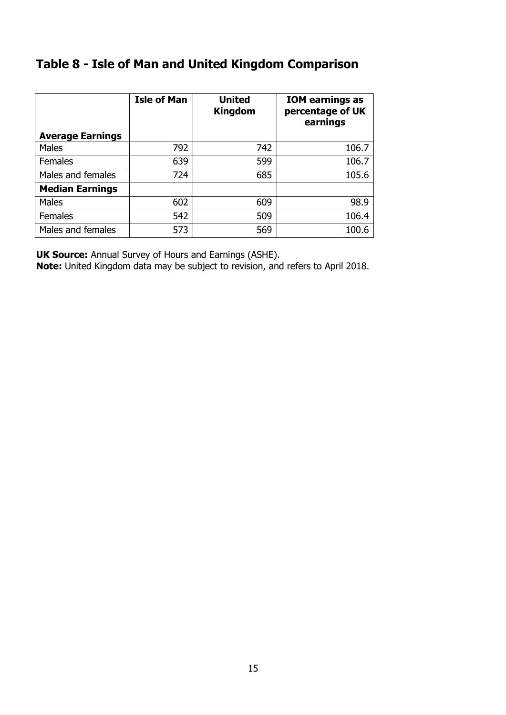# <span id="page-15-0"></span>**Table 8 - Isle of Man and United Kingdom Comparison**

|                         | <b>Isle of Man</b> | <b>United</b><br><b>Kingdom</b> | <b>IOM earnings as</b><br>percentage of UK<br>earnings |
|-------------------------|--------------------|---------------------------------|--------------------------------------------------------|
| <b>Average Earnings</b> |                    |                                 |                                                        |
| <b>Males</b>            | 792                | 742                             | 106.7                                                  |
| <b>Females</b>          | 639                | 599                             | 106.7                                                  |
| Males and females       | 724                | 685                             | 105.6                                                  |
| <b>Median Earnings</b>  |                    |                                 |                                                        |
| <b>Males</b>            | 602                | 609                             | 98.9                                                   |
| <b>Females</b>          | 542                | 509                             | 106.4                                                  |
| Males and females       | 573                | 569                             | 100.6                                                  |

**UK Source:** Annual Survey of Hours and Earnings (ASHE).

**Note:** United Kingdom data may be subject to revision, and refers to April 2018.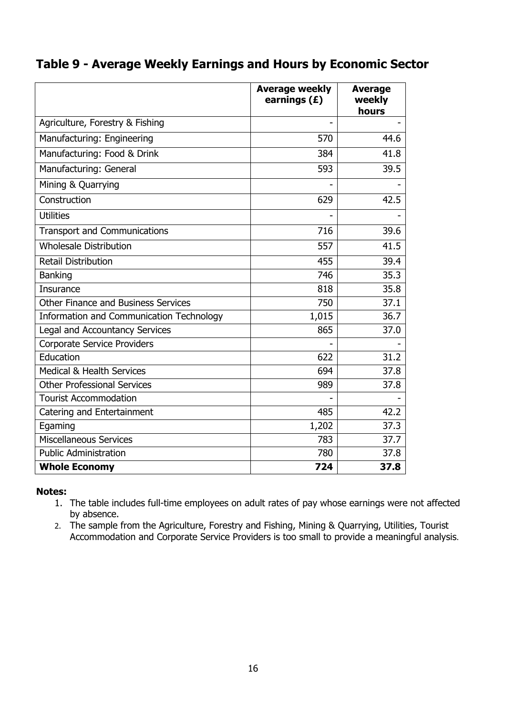# <span id="page-16-0"></span>**Table 9 - Average Weekly Earnings and Hours by Economic Sector**

|                                                 | <b>Average weekly</b><br>earnings $(E)$ | <b>Average</b><br>weekly<br>hours |
|-------------------------------------------------|-----------------------------------------|-----------------------------------|
| Agriculture, Forestry & Fishing                 |                                         |                                   |
| Manufacturing: Engineering                      | 570                                     | 44.6                              |
| Manufacturing: Food & Drink                     | 384                                     | 41.8                              |
| Manufacturing: General                          | 593                                     | 39.5                              |
| Mining & Quarrying                              |                                         |                                   |
| Construction                                    | 629                                     | 42.5                              |
| <b>Utilities</b>                                |                                         |                                   |
| <b>Transport and Communications</b>             | 716                                     | 39.6                              |
| <b>Wholesale Distribution</b>                   | 557                                     | 41.5                              |
| <b>Retail Distribution</b>                      | 455                                     | 39.4                              |
| <b>Banking</b>                                  | 746                                     | 35.3                              |
| <b>Insurance</b>                                | 818                                     | 35.8                              |
| <b>Other Finance and Business Services</b>      | 750                                     | 37.1                              |
| <b>Information and Communication Technology</b> | 1,015                                   | 36.7                              |
| Legal and Accountancy Services                  | 865                                     | 37.0                              |
| <b>Corporate Service Providers</b>              |                                         |                                   |
| Education                                       | 622                                     | 31.2                              |
| Medical & Health Services                       | 694                                     | 37.8                              |
| <b>Other Professional Services</b>              | 989                                     | 37.8                              |
| <b>Tourist Accommodation</b>                    |                                         |                                   |
| Catering and Entertainment                      | 485                                     | 42.2                              |
| Egaming                                         | 1,202                                   | 37.3                              |
| <b>Miscellaneous Services</b>                   | 783                                     | 37.7                              |
| <b>Public Administration</b>                    | 780                                     | 37.8                              |
| <b>Whole Economy</b>                            | 724                                     | 37.8                              |

### **Notes:**

1. The table includes full-time employees on adult rates of pay whose earnings were not affected by absence.

2. The sample from the Agriculture, Forestry and Fishing, Mining & Quarrying, Utilities, Tourist Accommodation and Corporate Service Providers is too small to provide a meaningful analysis.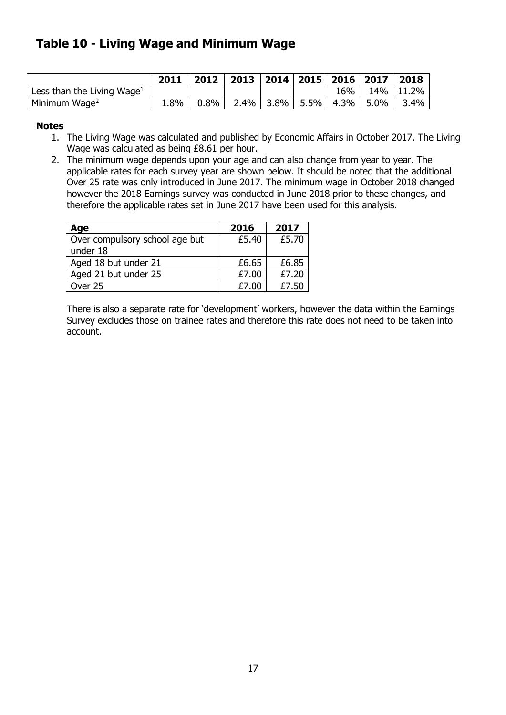<span id="page-17-0"></span>

|                                        | 2011  | 2012 | 2013 |      | 2014   2015   2016   2017 |      |      | 2018      |
|----------------------------------------|-------|------|------|------|---------------------------|------|------|-----------|
| Less than the Living Wage <sup>1</sup> |       |      |      |      |                           | 16%  |      | 14% 11.2% |
| Minimum Wage <sup>2</sup>              | 8%. ـ | 0.8% | 2.4% | 3.8% | 5.5%                      | 4.3% | 5.0% | 3.4%      |

### **Notes**

- 1. The Living Wage was calculated and published by Economic Affairs in October 2017. The Living Wage was calculated as being £8.61 per hour.
- 2. The minimum wage depends upon your age and can also change from year to year. The applicable rates for each survey year are shown below. It should be noted that the additional Over 25 rate was only introduced in June 2017. The minimum wage in October 2018 changed however the 2018 Earnings survey was conducted in June 2018 prior to these changes, and therefore the applicable rates set in June 2017 have been used for this analysis.

| Age                            | 2016  | 2017  |
|--------------------------------|-------|-------|
| Over compulsory school age but | £5.40 | £5.70 |
| under 18                       |       |       |
| Aged 18 but under 21           | £6.65 | £6.85 |
| Aged 21 but under 25           | £7.00 | £7.20 |
| Over 25                        | £7.00 | £⁄ ≒I |

There is also a separate rate for 'development' workers, however the data within the Earnings Survey excludes those on trainee rates and therefore this rate does not need to be taken into account.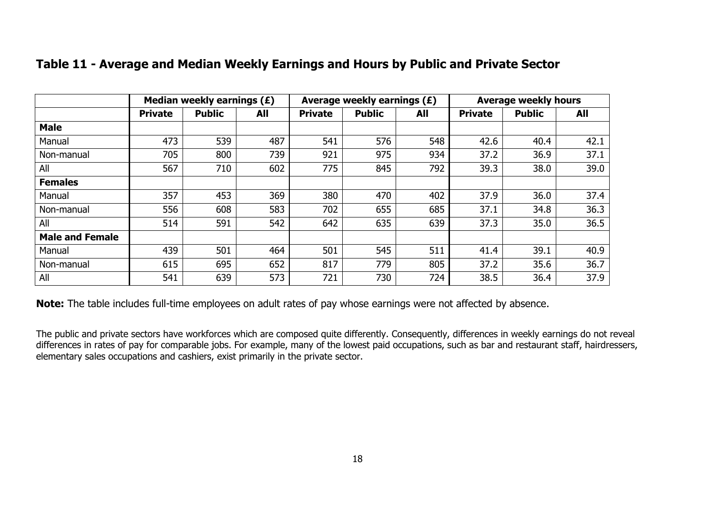|                        |                | Median weekly earnings (£) |     |                | Average weekly earnings (£) |     | <b>Average weekly hours</b> |               |      |  |
|------------------------|----------------|----------------------------|-----|----------------|-----------------------------|-----|-----------------------------|---------------|------|--|
|                        | <b>Private</b> | <b>Public</b><br>All       |     | <b>Private</b> | <b>Public</b>               |     | <b>Private</b>              | <b>Public</b> | All  |  |
| <b>Male</b>            |                |                            |     |                |                             |     |                             |               |      |  |
| Manual                 | 473            | 539                        | 487 | 541            | 576                         | 548 | 42.6                        | 40.4          | 42.1 |  |
| Non-manual             | 705            | 800                        | 739 | 921            | 975                         | 934 | 37.2                        | 36.9          | 37.1 |  |
| All                    | 567            | 710                        | 602 | 775            | 845                         | 792 | 39.3                        | 38.0          | 39.0 |  |
| <b>Females</b>         |                |                            |     |                |                             |     |                             |               |      |  |
| Manual                 | 357            | 453                        | 369 | 380            | 470                         | 402 | 37.9                        | 36.0          | 37.4 |  |
| Non-manual             | 556            | 608                        | 583 | 702            | 655                         | 685 | 37.1                        | 34.8          | 36.3 |  |
| All                    | 514            | 591                        | 542 | 642            | 635                         | 639 | 37.3                        | 35.0          | 36.5 |  |
| <b>Male and Female</b> |                |                            |     |                |                             |     |                             |               |      |  |
| Manual                 | 439            | 501                        | 464 | 501            | 545                         | 511 | 41.4                        | 39.1          | 40.9 |  |
| Non-manual             | 615            | 695                        | 652 | 817            | 779                         | 805 | 37.2                        | 35.6          | 36.7 |  |
| All                    | 541            | 639                        | 573 | 721            | 730                         | 724 | 38.5                        | 36.4          | 37.9 |  |

### **Table 11 - Average and Median Weekly Earnings and Hours by Public and Private Sector**

<span id="page-18-0"></span>**Note:** The table includes full-time employees on adult rates of pay whose earnings were not affected by absence.

The public and private sectors have workforces which are composed quite differently. Consequently, differences in weekly earnings do not reveal differences in rates of pay for comparable jobs. For example, many of the lowest paid occupations, such as bar and restaurant staff, hairdressers, elementary sales occupations and cashiers, exist primarily in the private sector.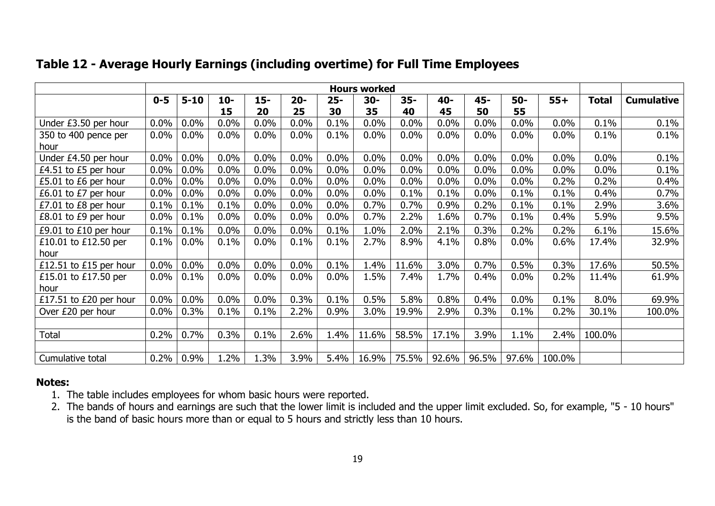|                        | <b>Hours worked</b> |          |         |        |      |        |       |        |       |       |       |         |              |                   |
|------------------------|---------------------|----------|---------|--------|------|--------|-------|--------|-------|-------|-------|---------|--------------|-------------------|
|                        | $0 - 5$             | $5 - 10$ | $10-$   | $15 -$ | 20-  | $25 -$ | 30-   | $35 -$ | 40-   | 45-   | 50-   | $55+$   | <b>Total</b> | <b>Cumulative</b> |
|                        |                     |          | 15      | 20     | 25   | 30     | 35    | 40     | 45    | 50    | 55    |         |              |                   |
| Under £3.50 per hour   | 0.0%                | 0.0%     | 0.0%    | 0.0%   | 0.0% | 0.1%   | 0.0%  | 0.0%   | 0.0%  | 0.0%  | 0.0%  | 0.0%    | 0.1%         | 0.1%              |
| 350 to 400 pence per   | 0.0%                | 0.0%     | 0.0%    | 0.0%   | 0.0% | 0.1%   | 0.0%  | 0.0%   | 0.0%  | 0.0%  | 0.0%  | 0.0%    | 0.1%         | 0.1%              |
| hour                   |                     |          |         |        |      |        |       |        |       |       |       |         |              |                   |
| Under £4.50 per hour   | 0.0%                | 0.0%     | $0.0\%$ | 0.0%   | 0.0% | 0.0%   | 0.0%  | 0.0%   | 0.0%  | 0.0%  | 0.0%  | $0.0\%$ | 0.0%         | 0.1%              |
| £4.51 to £5 per hour   | 0.0%                | 0.0%     | 0.0%    | 0.0%   | 0.0% | 0.0%   | 0.0%  | 0.0%   | 0.0%  | 0.0%  | 0.0%  | $0.0\%$ | 0.0%         | 0.1%              |
| £5.01 to £6 per hour   | 0.0%                | 0.0%     | $0.0\%$ | 0.0%   | 0.0% | 0.0%   | 0.0%  | 0.0%   | 0.0%  | 0.0%  | 0.0%  | 0.2%    | 0.2%         | 0.4%              |
| £6.01 to £7 per hour   | 0.0%                | 0.0%     | 0.0%    | 0.0%   | 0.0% | 0.0%   | 0.0%  | 0.1%   | 0.1%  | 0.0%  | 0.1%  | 0.1%    | 0.4%         | 0.7%              |
| £7.01 to £8 per hour   | 0.1%                | 0.1%     | 0.1%    | 0.0%   | 0.0% | 0.0%   | 0.7%  | 0.7%   | 0.9%  | 0.2%  | 0.1%  | 0.1%    | 2.9%         | 3.6%              |
| £8.01 to £9 per hour   | 0.0%                | 0.1%     | 0.0%    | 0.0%   | 0.0% | 0.0%   | 0.7%  | 2.2%   | 1.6%  | 0.7%  | 0.1%  | 0.4%    | 5.9%         | 9.5%              |
| £9.01 to £10 per hour  | 0.1%                | 0.1%     | 0.0%    | 0.0%   | 0.0% | 0.1%   | 1.0%  | 2.0%   | 2.1%  | 0.3%  | 0.2%  | 0.2%    | 6.1%         | 15.6%             |
| £10.01 to £12.50 per   | 0.1%                | 0.0%     | 0.1%    | 0.0%   | 0.1% | 0.1%   | 2.7%  | 8.9%   | 4.1%  | 0.8%  | 0.0%  | 0.6%    | 17.4%        | 32.9%             |
| hour                   |                     |          |         |        |      |        |       |        |       |       |       |         |              |                   |
| £12.51 to £15 per hour | 0.0%                | 0.0%     | $0.0\%$ | 0.0%   | 0.0% | 0.1%   | 1.4%  | 11.6%  | 3.0%  | 0.7%  | 0.5%  | 0.3%    | 17.6%        | 50.5%             |
| £15.01 to £17.50 per   | 0.0%                | 0.1%     | 0.0%    | 0.0%   | 0.0% | 0.0%   | 1.5%  | 7.4%   | 1.7%  | 0.4%  | 0.0%  | 0.2%    | 11.4%        | 61.9%             |
| hour                   |                     |          |         |        |      |        |       |        |       |       |       |         |              |                   |
| £17.51 to £20 per hour | 0.0%                | 0.0%     | 0.0%    | 0.0%   | 0.3% | 0.1%   | 0.5%  | 5.8%   | 0.8%  | 0.4%  | 0.0%  | 0.1%    | 8.0%         | 69.9%             |
| Over £20 per hour      | 0.0%                | 0.3%     | 0.1%    | 0.1%   | 2.2% | 0.9%   | 3.0%  | 19.9%  | 2.9%  | 0.3%  | 0.1%  | 0.2%    | 30.1%        | 100.0%            |
|                        |                     |          |         |        |      |        |       |        |       |       |       |         |              |                   |
| Total                  | 0.2%                | 0.7%     | 0.3%    | 0.1%   | 2.6% | 1.4%   | 11.6% | 58.5%  | 17.1% | 3.9%  | 1.1%  | 2.4%    | 100.0%       |                   |
|                        |                     |          |         |        |      |        |       |        |       |       |       |         |              |                   |
| Cumulative total       | 0.2%                | 0.9%     | 1.2%    | 1.3%   | 3.9% | 5.4%   | 16.9% | 75.5%  | 92.6% | 96.5% | 97.6% | 100.0%  |              |                   |

### **Table 12 - Average Hourly Earnings (including overtime) for Full Time Employees**

### <span id="page-19-0"></span>**Notes:**

- 1. The table includes employees for whom basic hours were reported.
- 2. The bands of hours and earnings are such that the lower limit is included and the upper limit excluded. So, for example, "5 10 hours" is the band of basic hours more than or equal to 5 hours and strictly less than 10 hours.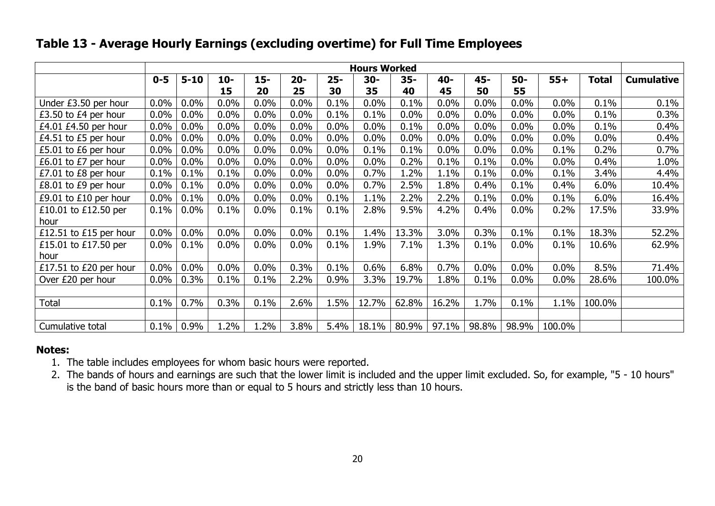|                        | <b>Hours Worked</b> |          |       |        |      |        |         |        |       |       |       |         |              |                   |
|------------------------|---------------------|----------|-------|--------|------|--------|---------|--------|-------|-------|-------|---------|--------------|-------------------|
|                        | $0 - 5$             | $5 - 10$ | $10-$ | $15 -$ | 20-  | $25 -$ | 30-     | $35 -$ | 40-   | 45-   | 50-   | $55+$   | <b>Total</b> | <b>Cumulative</b> |
|                        |                     |          | 15    | 20     | 25   | 30     | 35      | 40     | 45    | 50    | 55    |         |              |                   |
| Under £3.50 per hour   | 0.0%                | 0.0%     | 0.0%  | 0.0%   | 0.0% | 0.1%   | 0.0%    | 0.1%   | 0.0%  | 0.0%  | 0.0%  | $0.0\%$ | 0.1%         | 0.1%              |
| £3.50 to £4 per hour   | 0.0%                | 0.0%     | 0.0%  | 0.0%   | 0.0% | 0.1%   | 0.1%    | 0.0%   | 0.0%  | 0.0%  | 0.0%  | 0.0%    | 0.1%         | 0.3%              |
| £4.01 £4.50 per hour   | 0.0%                | 0.0%     | 0.0%  | 0.0%   | 0.0% | 0.0%   | 0.0%    | 0.1%   | 0.0%  | 0.0%  | 0.0%  | 0.0%    | 0.1%         | 0.4%              |
| £4.51 to £5 per hour   | 0.0%                | 0.0%     | 0.0%  | 0.0%   | 0.0% | 0.0%   | 0.0%    | 0.0%   | 0.0%  | 0.0%  | 0.0%  | 0.0%    | 0.0%         | 0.4%              |
| £5.01 to £6 per hour   | 0.0%                | 0.0%     | 0.0%  | 0.0%   | 0.0% | 0.0%   | 0.1%    | 0.1%   | 0.0%  | 0.0%  | 0.0%  | 0.1%    | 0.2%         | 0.7%              |
| £6.01 to £7 per hour   | 0.0%                | 0.0%     | 0.0%  | 0.0%   | 0.0% | 0.0%   | 0.0%    | 0.2%   | 0.1%  | 0.1%  | 0.0%  | 0.0%    | 0.4%         | 1.0%              |
| £7.01 to £8 per hour   | 0.1%                | 0.1%     | 0.1%  | 0.0%   | 0.0% | 0.0%   | 0.7%    | 1.2%   | 1.1%  | 0.1%  | 0.0%  | 0.1%    | 3.4%         | 4.4%              |
| £8.01 to £9 per hour   | 0.0%                | 0.1%     | 0.0%  | 0.0%   | 0.0% | 0.0%   | 0.7%    | 2.5%   | 1.8%  | 0.4%  | 0.1%  | 0.4%    | 6.0%         | 10.4%             |
| £9.01 to £10 per hour  | 0.0%                | 0.1%     | 0.0%  | 0.0%   | 0.0% | 0.1%   | 1.1%    | 2.2%   | 2.2%  | 0.1%  | 0.0%  | 0.1%    | 6.0%         | 16.4%             |
| £10.01 to £12.50 per   | 0.1%                | 0.0%     | 0.1%  | 0.0%   | 0.1% | 0.1%   | 2.8%    | 9.5%   | 4.2%  | 0.4%  | 0.0%  | 0.2%    | 17.5%        | 33.9%             |
| hour                   |                     |          |       |        |      |        |         |        |       |       |       |         |              |                   |
| £12.51 to £15 per hour | 0.0%                | 0.0%     | 0.0%  | 0.0%   | 0.0% | 0.1%   | 1.4%    | 13.3%  | 3.0%  | 0.3%  | 0.1%  | 0.1%    | 18.3%        | 52.2%             |
| £15.01 to £17.50 per   | 0.0%                | 0.1%     | 0.0%  | 0.0%   | 0.0% | 0.1%   | 1.9%    | 7.1%   | 1.3%  | 0.1%  | 0.0%  | 0.1%    | 10.6%        | 62.9%             |
| hour                   |                     |          |       |        |      |        |         |        |       |       |       |         |              |                   |
| £17.51 to £20 per hour | 0.0%                | 0.0%     | 0.0%  | 0.0%   | 0.3% | 0.1%   | 0.6%    | 6.8%   | 0.7%  | 0.0%  | 0.0%  | 0.0%    | 8.5%         | 71.4%             |
| Over £20 per hour      | 0.0%                | 0.3%     | 0.1%  | 0.1%   | 2.2% | 0.9%   | $3.3\%$ | 19.7%  | 1.8%  | 0.1%  | 0.0%  | $0.0\%$ | 28.6%        | 100.0%            |
|                        |                     |          |       |        |      |        |         |        |       |       |       |         |              |                   |
| Total                  | 0.1%                | 0.7%     | 0.3%  | 0.1%   | 2.6% | 1.5%   | 12.7%   | 62.8%  | 16.2% | 1.7%  | 0.1%  | 1.1%    | 100.0%       |                   |
|                        |                     |          |       |        |      |        |         |        |       |       |       |         |              |                   |
| Cumulative total       | 0.1%                | 0.9%     | 1.2%  | 1.2%   | 3.8% | 5.4%   | 18.1%   | 80.9%  | 97.1% | 98.8% | 98.9% | 100.0%  |              |                   |

### **Table 13 - Average Hourly Earnings (excluding overtime) for Full Time Employees**

### <span id="page-20-0"></span>**Notes:**

- 1. The table includes employees for whom basic hours were reported.
- 2. The bands of hours and earnings are such that the lower limit is included and the upper limit excluded. So, for example, "5 10 hours" is the band of basic hours more than or equal to 5 hours and strictly less than 10 hours.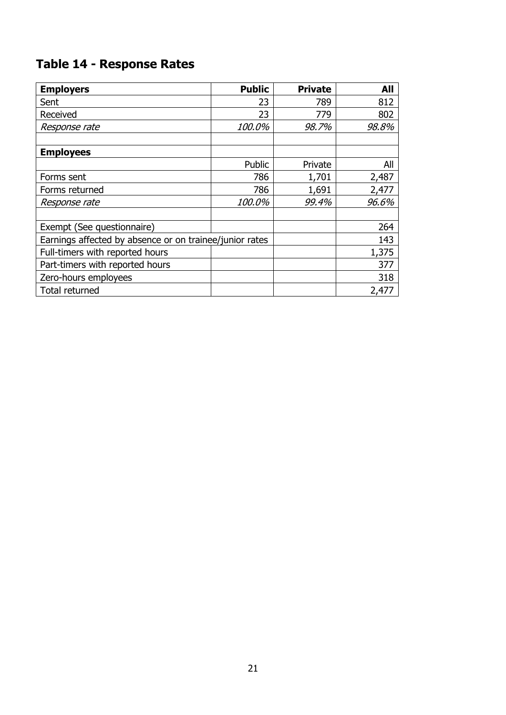# <span id="page-21-0"></span>**Table 14 - Response Rates**

| <b>Employers</b>                                        | <b>Public</b> | <b>Private</b> | <b>All</b> |
|---------------------------------------------------------|---------------|----------------|------------|
| Sent                                                    | 23            | 789            | 812        |
| Received                                                | 23            | 779            | 802        |
| Response rate                                           | 100.0%        | 98.7%          | 98.8%      |
|                                                         |               |                |            |
| <b>Employees</b>                                        |               |                |            |
|                                                         | Public        | Private        | All        |
| Forms sent                                              | 786           | 1,701          | 2,487      |
| Forms returned                                          | 786           | 1,691          | 2,477      |
| Response rate                                           | 100.0%        | 99.4%          | 96.6%      |
|                                                         |               |                |            |
| Exempt (See questionnaire)                              |               |                | 264        |
| Earnings affected by absence or on trainee/junior rates |               |                | 143        |
| Full-timers with reported hours                         |               |                | 1,375      |
| Part-timers with reported hours                         |               |                | 377        |
| Zero-hours employees                                    |               |                | 318        |
| Total returned                                          |               |                | 2,477      |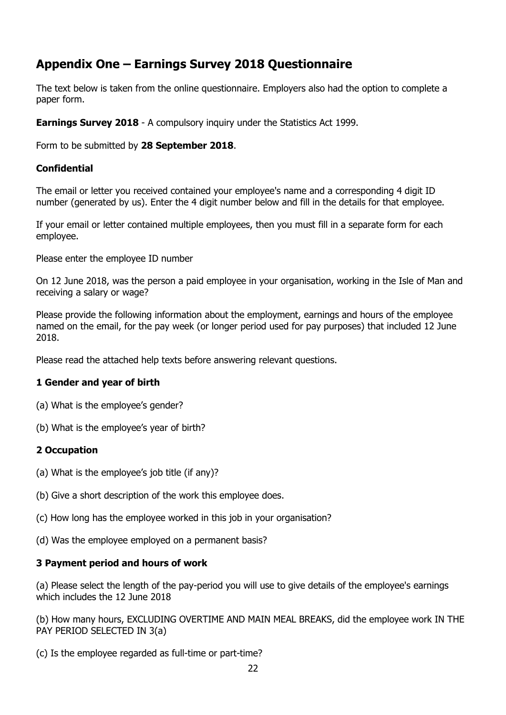### <span id="page-22-0"></span>**Appendix One – Earnings Survey 2018 Questionnaire**

The text below is taken from the online questionnaire. Employers also had the option to complete a paper form.

**Earnings Survey 2018** - A compulsory inquiry under the Statistics Act 1999.

Form to be submitted by **28 September 2018**.

### **Confidential**

The email or letter you received contained your employee's name and a corresponding 4 digit ID number (generated by us). Enter the 4 digit number below and fill in the details for that employee.

If your email or letter contained multiple employees, then you must fill in a separate form for each employee.

Please enter the employee ID number

On 12 June 2018, was the person a paid employee in your organisation, working in the Isle of Man and receiving a salary or wage?

Please provide the following information about the employment, earnings and hours of the employee named on the email, for the pay week (or longer period used for pay purposes) that included 12 June 2018.

Please read the attached help texts before answering relevant questions.

#### **1 Gender and year of birth**

- (a) What is the employee's gender?
- (b) What is the employee's year of birth?

### **2 Occupation**

- (a) What is the employee's job title (if any)?
- (b) Give a short description of the work this employee does.
- (c) How long has the employee worked in this job in your organisation?
- (d) Was the employee employed on a permanent basis?

#### **3 Payment period and hours of work**

(a) Please select the length of the pay-period you will use to give details of the employee's earnings which includes the 12 June 2018

(b) How many hours, EXCLUDING OVERTIME AND MAIN MEAL BREAKS, did the employee work IN THE PAY PERIOD SELECTED IN 3(a)

(c) Is the employee regarded as full-time or part-time?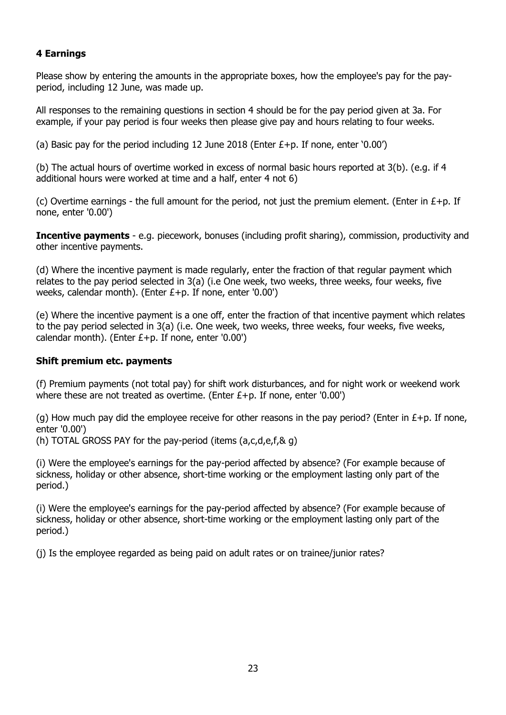### **4 Earnings**

Please show by entering the amounts in the appropriate boxes, how the employee's pay for the payperiod, including 12 June, was made up.

All responses to the remaining questions in section 4 should be for the pay period given at 3a. For example, if your pay period is four weeks then please give pay and hours relating to four weeks.

(a) Basic pay for the period including 12 June 2018 (Enter  $£+p$ . If none, enter  $0.00$ )

(b) The actual hours of overtime worked in excess of normal basic hours reported at 3(b). (e.g. if 4 additional hours were worked at time and a half, enter 4 not 6)

(c) Overtime earnings - the full amount for the period, not just the premium element. (Enter in  $E+$ p. If none, enter '0.00')

**Incentive payments** - e.g. piecework, bonuses (including profit sharing), commission, productivity and other incentive payments.

(d) Where the incentive payment is made regularly, enter the fraction of that regular payment which relates to the pay period selected in 3(a) (i.e One week, two weeks, three weeks, four weeks, five weeks, calendar month). (Enter £+p. If none, enter '0.00')

(e) Where the incentive payment is a one off, enter the fraction of that incentive payment which relates to the pay period selected in 3(a) (i.e. One week, two weeks, three weeks, four weeks, five weeks, calendar month). (Enter  $E+p$ . If none, enter '0.00')

#### **Shift premium etc. payments**

(f) Premium payments (not total pay) for shift work disturbances, and for night work or weekend work where these are not treated as overtime. (Enter £+p. If none, enter '0.00')

(g) How much pay did the employee receive for other reasons in the pay period? (Enter in  $E+p$ . If none, enter '0.00')

(h) TOTAL GROSS PAY for the pay-period (items (a,c,d,e,f,& g)

(i) Were the employee's earnings for the pay-period affected by absence? (For example because of sickness, holiday or other absence, short-time working or the employment lasting only part of the period.)

(i) Were the employee's earnings for the pay-period affected by absence? (For example because of sickness, holiday or other absence, short-time working or the employment lasting only part of the period.)

(j) Is the employee regarded as being paid on adult rates or on trainee/junior rates?